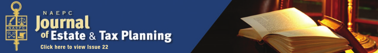

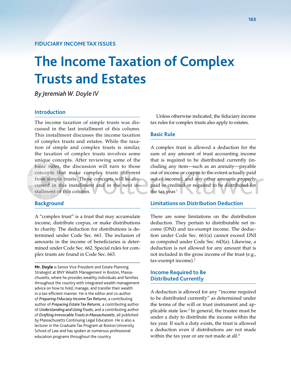# **The Income Taxation of Complex Trusts and Estates**

*By Jeremiah W. Doyle IV*

# **Introduction**

The income taxation of simple trusts was discussed in the last installment of this column. This installment discusses the income taxation of complex trusts and estates. While the taxation of simple and complex trusts is similar, the taxation of complex trusts involves some unique concepts. After reviewing some of the basic rules, the discussion will turn to those concepts that make complex trusts different from simple trusts. Those concepts will be discussed in this installment and in the next installment of this column.

#### **Background**

A "complex trust" is a trust that may accumulate income, distribute corpus, or make distributions to charity. The deduction for distributions is determined under Code Sec. 661. The inclusion of amounts in the income of beneficiaries is determined under Code Sec. 662. Special rules for complex trusts are found in Code Sec. 663.

**Mr. Doyle** is Senior Vice President and Estate Planning Strategist at BNY Wealth Management in Boston, Massachusetts, where he provides wealthy individuals and families throughout the country with integrated wealth management advice on how to hold, manage, and transfer their wealth in a tax-efficient manner. He is the editor and co-author of *Preparing Fiduciary Income Tax Returns*, a contributing author of *Preparing Estate Tax Returns*, a contributing author of *Understanding and Using Trusts*, and a contributing author of *Drafting Irrevocable Trusts in Massachusetts*, all published by Massachusetts Continuing Legal Education. He is also a lecturer in the Graduate Tax Program at Boston University School of Law and has spoken at numerous professional education programs throughout the country.

Unless otherwise indicated, the fiduciary income tax rules for complex trusts also apply to estates.

#### **Basic Rule**

A complex trust is allowed a deduction for the sum of any amount of trust accounting income that is required to be distributed currently (including any item—such as an annuity—payable out of income or corpus to the extent actually paid out of income), and any other amounts properly paid or credited or required to be distributed for the tax year. $1$ 

#### **Limitations on Distribution Deduction**

There are some limitations on the distribution deduction. They pertain to distributable net income (DNI) and tax-exempt income. The deduction under Code Sec. 661(a) cannot exceed DNI as computed under Code Sec. 643(a). Likewise, a deduction is not allowed for any amount that is not included in the gross income of the trust (e.g., tax-exempt income).<sup>2</sup>

# **Income Required to Be Distributed Currently**

A deduction is allowed for any "income required to be distributed currently" as determined under the terms of the will or trust instrument and applicable state law.3 In general, the trustee must be under a duty to distribute the income within the tax year. If such a duty exists, the trust is allowed a deduction even if distributions are not made within the tax year or are not made at all.<sup>4</sup>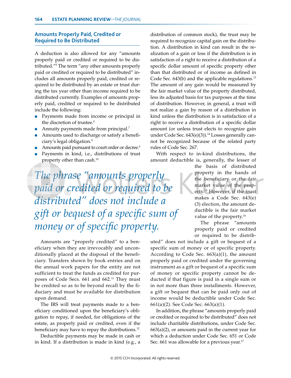# **Amounts Properly Paid, Credited or Required to Be Distributed**

A deduction is also allowed for any "amounts properly paid or credited or required to be distributed."5 The term "any other amounts properly paid or credited or required to be distributed" includes all amounts properly paid, credited or required to be distributed by an estate or trust during the tax year other than income required to be distributed currently. Examples of amounts properly paid, credited or required to be distributed include the following:

- Payments made from income or principal in the discretion of trustee.<sup>6</sup>
- Annuity payments made from principal.<sup>7</sup>
- Amounts used to discharge or satisfy a beneficiary's legal obligation.8
- Amounts paid pursuant to court order or decree.<sup>9</sup>
- Payments in kind, i.e., distributions of trust property other than cash.<sup>10</sup>

*The phrase "amounts properly paid or credited or required to be distributed" does not include a gift or bequest of a specific sum of money or of specific property.*

Amounts are "properly credited" to a beneficiary when they are irrevocably and unconditionally placed at the disposal of the beneficiary. Transfers shown by book entries and on the annual work papers for the entity are not sufficient to treat the funds as credited for purposes of Code Secs. 661 and 662.<sup>11</sup> They must be credited so as to be beyond recall by the fiduciary and must be available for distribution upon demand.

The IRS will treat payments made to a beneficiary conditioned upon the beneficiary's obligation to repay, if needed, for obligations of the estate, as properly paid or credited, even if the beneficiary may have to repay the distributions.<sup>12</sup>

Deductible payments may be made in cash or in kind. If a distribution is made in kind (e.g., a distribution of common stock), the trust may be required to recognize capital gain on the distribution. A distribution in kind can result in the realization of a gain or loss if the distribution is in satisfaction of a right to receive a distribution of a specific dollar amount of specific property other than that distributed or of income as defined in Code Sec. 643(b) and the applicable regulations.<sup>13</sup> The amount of any gain would be measured by the fair market value of the property distributed, less its adjusted basis for tax purposes at the time of distribution. However, in general, a trust will not realize a gain by reason of a distribution in kind unless the distribution is in satisfaction of a right to receive a distribution of a specific dollar amount (or unless trust elects to recognize gain under Code Sec.  $643(e)(3)$ .<sup>14</sup> Losses generally cannot be recognized because of the related party rules of Code Sec. 267.

With respect to in-kind distributions, the amount deductible is, generally, the lesser of

> the basis of distributed property in the hands of the beneficiary or the fair market value of the property.15 However, if the trust makes a Code Sec. 643(e) (3) election, the amount deductible is the fair market value of the property.<sup>16</sup>

The phrase "amounts properly paid or credited or required to be distrib-

uted" does not include a gift or bequest of a specific sum of money or of specific property. According to Code Sec.  $663(a)(1)$ , the amount properly paid or credited under the governing instrument as a gift or bequest of a specific sum of money or specific property cannot be deducted if that figure is paid in a single sum or in not more than three installments. However, a gift or bequest that can be paid only out of income would be deductible under Code Sec. 661(a)(2). See Code Sec. 663(a)(1).

In addition, the phrase "amounts properly paid or credited or required to be distributed" does not include charitable distributions, under Code Sec.  $663(a)(2)$ , or amounts paid in the current year for which a deduction under Code Sec. 651 or Code Sec. 661 was allowable for a previous year.<sup>17</sup>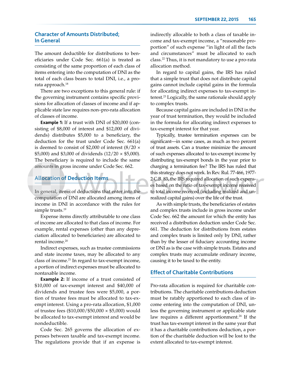# **Character of Amounts Distributed; In General**

The amount deductible for distributions to beneficiaries under Code Sec. 661(a) is treated as consisting of the same proportion of each class of items entering into the computation of DNI as the total of each class bears to total DNI, i.e., a prorata approach.<sup>18</sup>

There are two exceptions to this general rule: if the governing instrument contains specific provisions for allocation of classes of income and if applicable state law requires non–pro-rata allocation of classes of income.

**Example 1:** If a trust with DNI of \$20,000 (consisting of \$8,000 of interest and \$12,000 of dividends) distributes \$5,000 to a beneficiary, the deduction for the trust under Code Sec. 661(a) is deemed to consist of \$2,000 of interest (8/20 × \$5,000) and \$3,000 of dividends  $(12/20 \times $5,000)$ . The beneficiary is required to include the same amounts in gross income under Code Sec. 662.

# **Allocation of Deduction Items**

In general, items of deductions that enter into the computation of DNI are allocated among items of income in DNI in accordance with the rules for simple trusts.<sup>19</sup>

Expense items directly attributable to one class of income are allocated to that class of income. For example, rental expenses (other than any depreciation allocated to beneficiaries) are allocated to rental income.<sup>20</sup>

Indirect expenses, such as trustee commissions and state income taxes, may be allocated to any class of income.<sup>21</sup> In regard to tax-exempt income, a portion of indirect expenses must be allocated to nontaxable income.

**Example 2:** If income of a trust consisted of \$10,000 of tax-exempt interest and \$40,000 of dividends and trustee fees were \$5,000, a portion of trustee fees must be allocated to tax-exempt interest. Using a pro-rata allocation, \$1,000 of trustee fees (\$10,000/\$50,000 × \$5,000) would be allocated to tax-exempt interest and would be nondeductible.

Code Sec. 265 governs the allocation of expenses between taxable and tax-exempt income. The regulations provide that if an expense is indirectly allocable to both a class of taxable income and tax-exempt income, a "reasonable proportion" of such expense "in light of all the facts and circumstances" must be allocated to each class.22 Thus, it is not mandatory to use a pro-rata allocation method.

In regard to capital gains, the IRS has ruled that a simple trust that does not distribute capital gains cannot include capital gains in the formula for allocating indirect expenses to tax-exempt interest.23 Logically, the same rationale should apply to complex trusts.

Because capital gains are included in DNI in the year of trust termination, they would be included in the formula for allocating indirect expenses to tax-exempt interest for that year.

Typically, trustee termination expenses can be significant—in some cases, as much as two percent of trust assets. Can a trustee minimize the amount of such expenses allocated to tax-exempt income by distributing tax-exempt bonds in the year prior to charging a termination fee? The IRS has ruled that this strategy does not work. In Rev. Rul. 77-466, 1977- 2 C.B. 83, the IRS required allocation of such expenses based on the ratio of tax-exempt income received to total income received (including realized and unrealized capital gains) over the life of the trust.

As with simple trusts, the beneficiaries of estates and complex trusts include in gross income under Code Sec. 662 the amount for which the entity has received a distribution deduction under Code Sec. 661. The deduction for distributions from estates and complex trusts is limited only by DNI, rather than by the lesser of fiduciary accounting income or DNI as is the case with simple trusts. Estates and complex trusts may accumulate ordinary income, causing it to be taxed to the entity.

#### **Effect of Charitable Contributions**

Pro-rata allocation is required for charitable contributions. The charitable contributions deduction must be ratably apportioned to each class of income entering into the computation of DNI, unless the governing instrument or applicable state law requires a different apportionment.<sup>24</sup> If the trust has tax-exempt interest in the same year that it has a charitable contributions deduction, a portion of the charitable deduction will be lost to the extent allocated to tax-exempt interest.